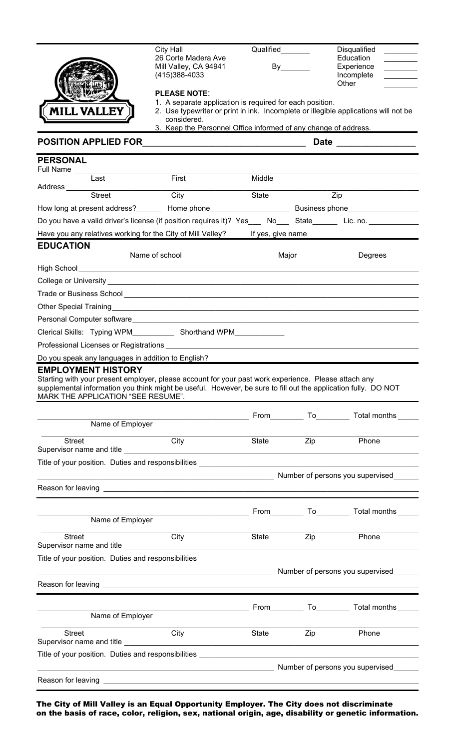|                                                                                                                | City Hall                                                       | Qualified_______  |                                                                                                               | Disqualified                                                                        |  |
|----------------------------------------------------------------------------------------------------------------|-----------------------------------------------------------------|-------------------|---------------------------------------------------------------------------------------------------------------|-------------------------------------------------------------------------------------|--|
|                                                                                                                | 26 Corte Madera Ave                                             |                   |                                                                                                               | Education                                                                           |  |
|                                                                                                                | Mill Valley, CA 94941<br>(415)388-4033                          |                   |                                                                                                               | Experience<br><u> 1990 - Jan Barnett, fransk politiker</u><br>Incomplete            |  |
|                                                                                                                |                                                                 |                   |                                                                                                               | Other                                                                               |  |
|                                                                                                                | <b>PLEASE NOTE:</b>                                             |                   |                                                                                                               |                                                                                     |  |
|                                                                                                                | 1. A separate application is required for each position.        |                   |                                                                                                               |                                                                                     |  |
| <b>[CMILL VALLEY</b>                                                                                           | considered.                                                     |                   |                                                                                                               | 2. Use typewriter or print in ink. Incomplete or illegible applications will not be |  |
|                                                                                                                | 3. Keep the Personnel Office informed of any change of address. |                   |                                                                                                               |                                                                                     |  |
| POSITION APPLIED FOR THE RESERVE TO A RESERVE THE RESERVE TO A RESERVE THE RESERVE THAT A RESERVE THE RESERVE  |                                                                 |                   | Date ________________                                                                                         |                                                                                     |  |
| <b>PERSONAL</b>                                                                                                |                                                                 |                   |                                                                                                               |                                                                                     |  |
| Full Name                                                                                                      |                                                                 |                   |                                                                                                               |                                                                                     |  |
| $\overline{\text{Last}}$                                                                                       | First                                                           | Middle            |                                                                                                               |                                                                                     |  |
| Address Street                                                                                                 | City                                                            | State             |                                                                                                               | $\overline{Zip}$                                                                    |  |
|                                                                                                                |                                                                 |                   |                                                                                                               |                                                                                     |  |
|                                                                                                                |                                                                 |                   | How long at present address?_________ Home phone___________________________ Business phone___________________ |                                                                                     |  |
| Do you have a valid driver's license (if position requires it)? Yes___ No___ State______ Lic. no. ________     |                                                                 |                   |                                                                                                               |                                                                                     |  |
| Have you any relatives working for the City of Mill Valley?                                                    |                                                                 | If yes, give name |                                                                                                               |                                                                                     |  |
| <b>EDUCATION</b><br>Name of school                                                                             |                                                                 |                   | Major<br>Degrees                                                                                              |                                                                                     |  |
|                                                                                                                |                                                                 |                   |                                                                                                               |                                                                                     |  |
|                                                                                                                |                                                                 |                   |                                                                                                               |                                                                                     |  |
|                                                                                                                |                                                                 |                   |                                                                                                               |                                                                                     |  |
|                                                                                                                |                                                                 |                   |                                                                                                               |                                                                                     |  |
|                                                                                                                |                                                                 |                   |                                                                                                               |                                                                                     |  |
|                                                                                                                |                                                                 |                   |                                                                                                               |                                                                                     |  |
|                                                                                                                |                                                                 |                   |                                                                                                               |                                                                                     |  |
|                                                                                                                |                                                                 |                   |                                                                                                               |                                                                                     |  |
| Do you speak any languages in addition to English?                                                             |                                                                 |                   |                                                                                                               |                                                                                     |  |
| <b>EMPLOYMENT HISTORY</b>                                                                                      |                                                                 |                   |                                                                                                               |                                                                                     |  |
| Starting with your present employer, please account for your past work experience. Please attach any           |                                                                 |                   |                                                                                                               |                                                                                     |  |
| supplemental information you think might be useful. However, be sure to fill out the application fully. DO NOT |                                                                 |                   |                                                                                                               |                                                                                     |  |
| MARK THE APPLICATION "SEE RESUME".                                                                             |                                                                 |                   |                                                                                                               |                                                                                     |  |
|                                                                                                                |                                                                 |                   |                                                                                                               |                                                                                     |  |
| Name of Employer                                                                                               |                                                                 |                   |                                                                                                               |                                                                                     |  |
| <b>Street</b>                                                                                                  | City                                                            | <b>State</b>      | Zip                                                                                                           | Phone                                                                               |  |
|                                                                                                                |                                                                 |                   |                                                                                                               |                                                                                     |  |
| Title of your position. Duties and responsibilities ____________________________                               |                                                                 |                   |                                                                                                               |                                                                                     |  |
|                                                                                                                |                                                                 |                   |                                                                                                               | Number of persons you supervised                                                    |  |
|                                                                                                                |                                                                 |                   |                                                                                                               |                                                                                     |  |
|                                                                                                                |                                                                 |                   |                                                                                                               |                                                                                     |  |
|                                                                                                                |                                                                 |                   |                                                                                                               | From To To Total months                                                             |  |
| Name of Employer                                                                                               |                                                                 |                   |                                                                                                               |                                                                                     |  |
|                                                                                                                |                                                                 |                   |                                                                                                               |                                                                                     |  |
| <b>Street</b><br>Supervisor name and title __________                                                          | City                                                            | State             | Zip                                                                                                           | Phone                                                                               |  |
|                                                                                                                |                                                                 |                   |                                                                                                               |                                                                                     |  |
|                                                                                                                |                                                                 |                   |                                                                                                               |                                                                                     |  |
|                                                                                                                |                                                                 |                   |                                                                                                               | Number of persons you supervised                                                    |  |
|                                                                                                                |                                                                 |                   |                                                                                                               |                                                                                     |  |
|                                                                                                                |                                                                 |                   |                                                                                                               |                                                                                     |  |
| Name of Employer                                                                                               |                                                                 |                   |                                                                                                               | From To To Total months                                                             |  |
|                                                                                                                |                                                                 |                   |                                                                                                               |                                                                                     |  |
| Street                                                                                                         | City                                                            | State             | Zip                                                                                                           | Phone                                                                               |  |
|                                                                                                                |                                                                 |                   |                                                                                                               |                                                                                     |  |
| Title of your position. Duties and responsibilities _____________________________                              |                                                                 |                   |                                                                                                               |                                                                                     |  |
|                                                                                                                |                                                                 |                   |                                                                                                               | Number of persons you supervised                                                    |  |
|                                                                                                                |                                                                 |                   |                                                                                                               |                                                                                     |  |
|                                                                                                                |                                                                 |                   |                                                                                                               |                                                                                     |  |

The City of Mill Valley is an Equal Opportunity Employer. The City does not discriminate on the basis of race, color, religion, sex, national origin, age, disability or genetic information.